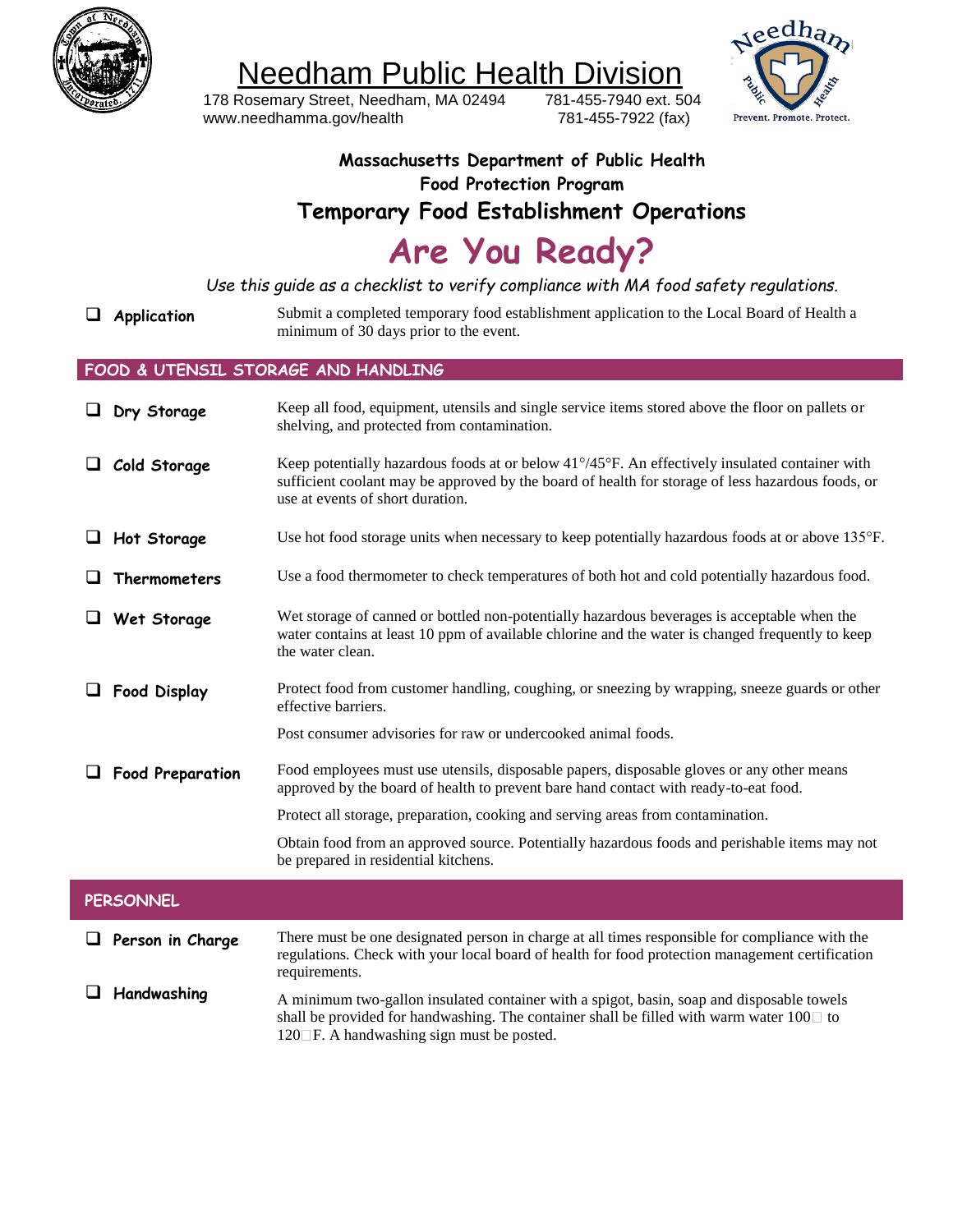

Needham Public Health Division

178 Rosemary Street, Needham, MA 02494 [www.needhamma.gov/health](http://www.needhamma.gov/health)

781-455-7940 ext. 504 781-455-7922 (fax)



### **Massachusetts Department of Public Health Food Protection Program Temporary Food Establishment Operations**

**Are You Ready?**

Use this guide as a checklist to verify compliance with MA food safety regulations.

**Application** Submit a completed temporary food establishment application to the Local Board of Health a minimum of 30 days prior to the event.

#### **FOOD & UTENSIL STORAGE AND HANDLING**

| Dry Storage             | Keep all food, equipment, utensils and single service items stored above the floor on pallets or<br>shelving, and protected from contamination.                                                                                                          |
|-------------------------|----------------------------------------------------------------------------------------------------------------------------------------------------------------------------------------------------------------------------------------------------------|
| Cold Storage            | Keep potentially hazardous foods at or below $41^{\circ}/45^{\circ}$ F. An effectively insulated container with<br>sufficient coolant may be approved by the board of health for storage of less hazardous foods, or<br>use at events of short duration. |
| Hot Storage             | Use hot food storage units when necessary to keep potentially hazardous foods at or above 135°F.                                                                                                                                                         |
| <b>Thermometers</b>     | Use a food thermometer to check temperatures of both hot and cold potentially hazardous food.                                                                                                                                                            |
| Wet Storage             | Wet storage of canned or bottled non-potentially hazardous beverages is acceptable when the<br>water contains at least 10 ppm of available chlorine and the water is changed frequently to keep<br>the water clean.                                      |
| <b>Food Display</b>     | Protect food from customer handling, coughing, or sneezing by wrapping, sneeze guards or other<br>effective barriers.                                                                                                                                    |
|                         | Post consumer advisories for raw or undercooked animal foods.                                                                                                                                                                                            |
| <b>Food Preparation</b> | Food employees must use utensils, disposable papers, disposable gloves or any other means<br>approved by the board of health to prevent bare hand contact with ready-to-eat food.                                                                        |
|                         | Protect all storage, preparation, cooking and serving areas from contamination.                                                                                                                                                                          |
|                         | Obtain food from an approved source. Potentially hazardous foods and perishable items may not<br>be prepared in residential kitchens.                                                                                                                    |
| <b>PERSONNEL</b>        |                                                                                                                                                                                                                                                          |
| Person in Charge        | There must be one designated person in charge at all times responsible for compliance with the<br>regulations. Check with your local board of health for food protection management certification<br>requirements.                                       |
| Handwashing             | A minimum two-gallon insulated container with a spigot, basin, soap and disposable towels<br>shall be provided for handwashing. The container shall be filled with warm water $100\Box$ to<br>120□F. A handwashing sign must be posted.                  |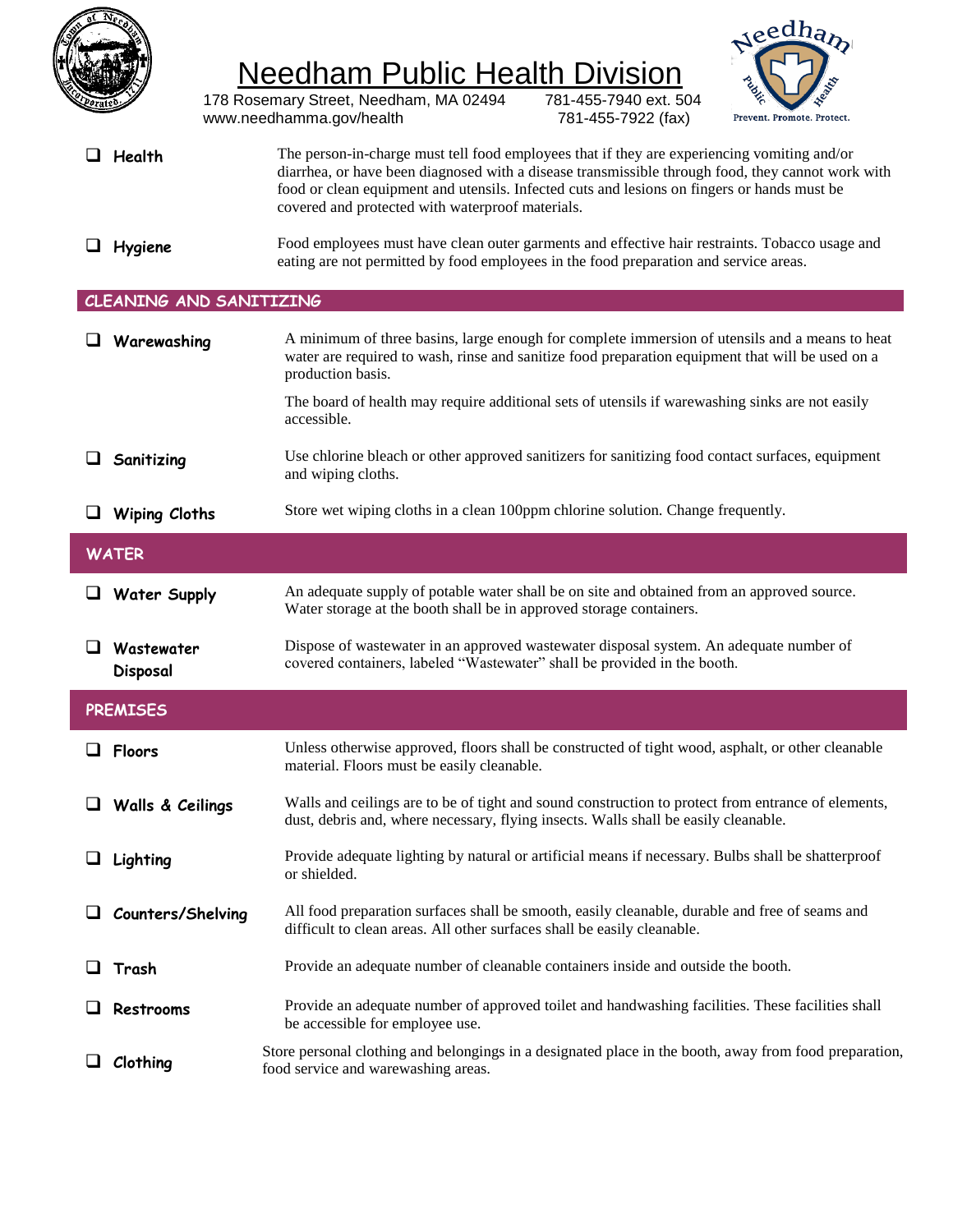

## Needham Public Health Division

178 Rosemary Street, Needham, MA 02494 [www.needhamma.gov/health](http://www.needhamma.gov/health)

781-455-7940 ext. 504 781-455-7922 (fax)



- **Health** The person-in-charge must tell food employees that if they are experiencing vomiting and/or diarrhea, or have been diagnosed with a disease transmissible through food, they cannot work with food or clean equipment and utensils. Infected cuts and lesions on fingers or hands must be covered and protected with waterproof materials.
- **Hygiene** Food employees must have clean outer garments and effective hair restraints. Tobacco usage and eating are not permitted by food employees in the food preparation and service areas.

### **CLEANING AND SANITIZING**

|                 | $\Box$ Warewashing      | A minimum of three basins, large enough for complete immersion of utensils and a means to heat<br>water are required to wash, rinse and sanitize food preparation equipment that will be used on a<br>production basis. |  |  |
|-----------------|-------------------------|-------------------------------------------------------------------------------------------------------------------------------------------------------------------------------------------------------------------------|--|--|
|                 |                         | The board of health may require additional sets of utensils if warewashing sinks are not easily<br>accessible.                                                                                                          |  |  |
|                 | Sanitizing              | Use chlorine bleach or other approved sanitizers for sanitizing food contact surfaces, equipment<br>and wiping cloths.                                                                                                  |  |  |
| ⊔               | <b>Wiping Cloths</b>    | Store wet wiping cloths in a clean 100ppm chlorine solution. Change frequently.                                                                                                                                         |  |  |
| <b>WATER</b>    |                         |                                                                                                                                                                                                                         |  |  |
|                 | $\Box$ Water Supply     | An adequate supply of potable water shall be on site and obtained from an approved source.<br>Water storage at the booth shall be in approved storage containers.                                                       |  |  |
| O.              | Wastewater<br>Disposal  | Dispose of wastewater in an approved wastewater disposal system. An adequate number of<br>covered containers, labeled "Wastewater" shall be provided in the booth.                                                      |  |  |
| <b>PREMISES</b> |                         |                                                                                                                                                                                                                         |  |  |
|                 |                         |                                                                                                                                                                                                                         |  |  |
|                 | $\Box$ Floors           | Unless otherwise approved, floors shall be constructed of tight wood, asphalt, or other cleanable<br>material. Floors must be easily cleanable.                                                                         |  |  |
|                 | $\Box$ Walls & Ceilings | Walls and ceilings are to be of tight and sound construction to protect from entrance of elements,<br>dust, debris and, where necessary, flying insects. Walls shall be easily cleanable.                               |  |  |
|                 | Lighting                | Provide adequate lighting by natural or artificial means if necessary. Bulbs shall be shatterproof<br>or shielded.                                                                                                      |  |  |
| ⊔               | Counters/Shelving       | All food preparation surfaces shall be smooth, easily cleanable, durable and free of seams and<br>difficult to clean areas. All other surfaces shall be easily cleanable.                                               |  |  |
|                 | Trash                   | Provide an adequate number of cleanable containers inside and outside the booth.                                                                                                                                        |  |  |
|                 | Restrooms               | Provide an adequate number of approved toilet and handwashing facilities. These facilities shall<br>be accessible for employee use.                                                                                     |  |  |